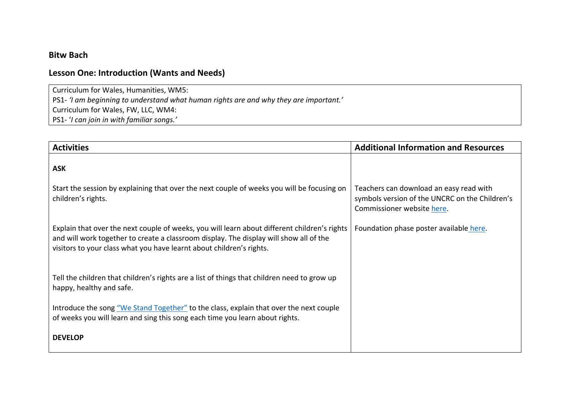### **Bitw Bach**

## **Lesson One: Introduction (Wants and Needs)**

Curriculum for Wales, Humanities, WM5:

PS1- *'I am beginning to understand what human rights are and why they are important.'*

Curriculum for Wales, FW, LLC, WM4:

PS1- '*I can join in with familiar songs.'*

| <b>Activities</b>                                                                                                                                                                                                                                              | <b>Additional Information and Resources</b>                                                                             |
|----------------------------------------------------------------------------------------------------------------------------------------------------------------------------------------------------------------------------------------------------------------|-------------------------------------------------------------------------------------------------------------------------|
| <b>ASK</b>                                                                                                                                                                                                                                                     |                                                                                                                         |
| Start the session by explaining that over the next couple of weeks you will be focusing on<br>children's rights.                                                                                                                                               | Teachers can download an easy read with<br>symbols version of the UNCRC on the Children's<br>Commissioner website here. |
| Explain that over the next couple of weeks, you will learn about different children's rights<br>and will work together to create a classroom display. The display will show all of the<br>visitors to your class what you have learnt about children's rights. | Foundation phase poster available here.                                                                                 |
| Tell the children that children's rights are a list of things that children need to grow up<br>happy, healthy and safe.                                                                                                                                        |                                                                                                                         |
| Introduce the song "We Stand Together" to the class, explain that over the next couple<br>of weeks you will learn and sing this song each time you learn about rights.                                                                                         |                                                                                                                         |
| <b>DEVELOP</b>                                                                                                                                                                                                                                                 |                                                                                                                         |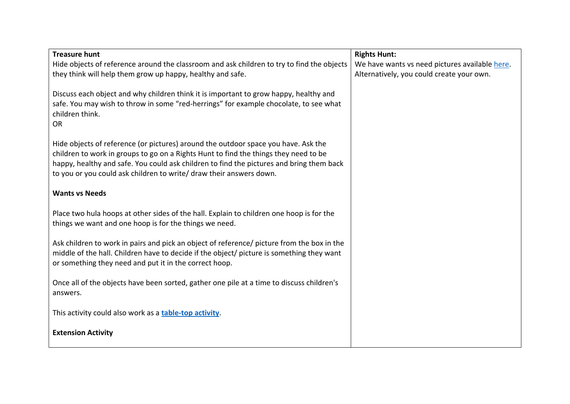| <b>Treasure hunt</b>                                                                       | <b>Rights Hunt:</b>                            |
|--------------------------------------------------------------------------------------------|------------------------------------------------|
| Hide objects of reference around the classroom and ask children to try to find the objects | We have wants vs need pictures available here. |
| they think will help them grow up happy, healthy and safe.                                 | Alternatively, you could create your own.      |
|                                                                                            |                                                |
| Discuss each object and why children think it is important to grow happy, healthy and      |                                                |
| safe. You may wish to throw in some "red-herrings" for example chocolate, to see what      |                                                |
| children think.                                                                            |                                                |
| <b>OR</b>                                                                                  |                                                |
|                                                                                            |                                                |
| Hide objects of reference (or pictures) around the outdoor space you have. Ask the         |                                                |
| children to work in groups to go on a Rights Hunt to find the things they need to be       |                                                |
| happy, healthy and safe. You could ask children to find the pictures and bring them back   |                                                |
| to you or you could ask children to write/ draw their answers down.                        |                                                |
|                                                                                            |                                                |
| <b>Wants vs Needs</b>                                                                      |                                                |
|                                                                                            |                                                |
| Place two hula hoops at other sides of the hall. Explain to children one hoop is for the   |                                                |
| things we want and one hoop is for the things we need.                                     |                                                |
| Ask children to work in pairs and pick an object of reference/ picture from the box in the |                                                |
| middle of the hall. Children have to decide if the object/ picture is something they want  |                                                |
| or something they need and put it in the correct hoop.                                     |                                                |
|                                                                                            |                                                |
| Once all of the objects have been sorted, gather one pile at a time to discuss children's  |                                                |
| answers.                                                                                   |                                                |
|                                                                                            |                                                |
| This activity could also work as a <b>table-top activity</b> .                             |                                                |
|                                                                                            |                                                |
| <b>Extension Activity</b>                                                                  |                                                |
|                                                                                            |                                                |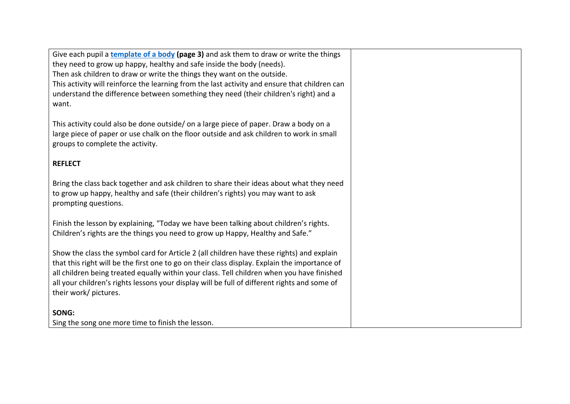Give each pupil a **[template of a body](https://www.childcomwales.org.uk/wp-content/uploads/2021/02/Bitw-Bach-Homelearning-Workbook-ENG.pdf) (page 3)** and ask them to draw or write the things they need to grow up happy, healthy and safe inside the body (needs). Then ask children to draw or write the things they want on the outside. This activity will reinforce the learning from the last activity and ensure that children can understand the difference between something they need (their children's right) and a want. This activity could also be done outside/ on a large piece of paper. Draw a body on a large piece of paper or use chalk on the floor outside and ask children to work in small groups to complete the activity. **REFLECT**  Bring the class back together and ask children to share their ideas about what they need to grow up happy, healthy and safe (their children's rights) you may want to ask prompting questions. Finish the lesson by explaining, "Today we have been talking about children's rights. Children's rights are the things you need to grow up Happy, Healthy and Safe." Show the class the symbol card for Article 2 (all children have these rights) and explain that this right will be the first one to go on their class display. Explain the importance of all children being treated equally within your class. Tell children when you have finished all your children's rights lessons your display will be full of different rights and some of their work/ pictures. **SONG:**  Sing the song one more time to finish the lesson.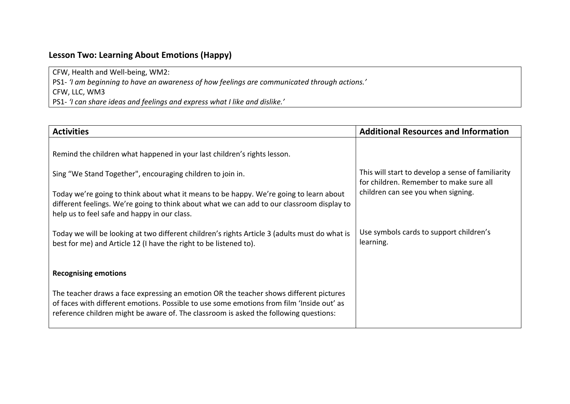## **Lesson Two: Learning About Emotions (Happy)**

CFW, Health and Well-being, WM2:

PS1- *'I am beginning to have an awareness of how feelings are communicated through actions.'* CFW, LLC, WM3

PS1- *'I can share ideas and feelings and express what I like and dislike.'*

| <b>Activities</b>                                                                                                                                                                                                                                                            | <b>Additional Resources and Information</b>                                                  |
|------------------------------------------------------------------------------------------------------------------------------------------------------------------------------------------------------------------------------------------------------------------------------|----------------------------------------------------------------------------------------------|
| Remind the children what happened in your last children's rights lesson.                                                                                                                                                                                                     |                                                                                              |
| Sing "We Stand Together", encouraging children to join in.                                                                                                                                                                                                                   | This will start to develop a sense of familiarity<br>for children. Remember to make sure all |
| Today we're going to think about what it means to be happy. We're going to learn about<br>different feelings. We're going to think about what we can add to our classroom display to<br>help us to feel safe and happy in our class.                                         | children can see you when signing.                                                           |
| Today we will be looking at two different children's rights Article 3 (adults must do what is<br>best for me) and Article 12 (I have the right to be listened to).                                                                                                           | Use symbols cards to support children's<br>learning.                                         |
| <b>Recognising emotions</b>                                                                                                                                                                                                                                                  |                                                                                              |
| The teacher draws a face expressing an emotion OR the teacher shows different pictures<br>of faces with different emotions. Possible to use some emotions from film 'Inside out' as<br>reference children might be aware of. The classroom is asked the following questions: |                                                                                              |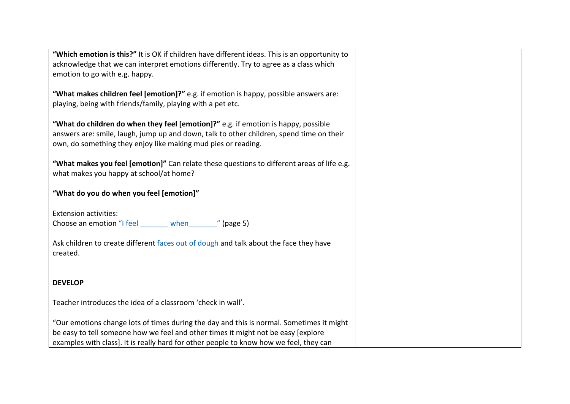| "Which emotion is this?" It is OK if children have different ideas. This is an opportunity to                                                        |  |
|------------------------------------------------------------------------------------------------------------------------------------------------------|--|
| acknowledge that we can interpret emotions differently. Try to agree as a class which                                                                |  |
| emotion to go with e.g. happy.                                                                                                                       |  |
|                                                                                                                                                      |  |
| "What makes children feel [emotion]?" e.g. if emotion is happy, possible answers are:<br>playing, being with friends/family, playing with a pet etc. |  |
|                                                                                                                                                      |  |
| "What do children do when they feel [emotion]?" e.g. if emotion is happy, possible                                                                   |  |
| answers are: smile, laugh, jump up and down, talk to other children, spend time on their                                                             |  |
| own, do something they enjoy like making mud pies or reading.                                                                                        |  |
|                                                                                                                                                      |  |
| "What makes you feel [emotion]" Can relate these questions to different areas of life e.g.                                                           |  |
| what makes you happy at school/at home?                                                                                                              |  |
|                                                                                                                                                      |  |
| "What do you do when you feel [emotion]"                                                                                                             |  |
| <b>Extension activities:</b>                                                                                                                         |  |
| Choose an emotion "I feel<br>when<br>$"$ (page 5)                                                                                                    |  |
|                                                                                                                                                      |  |
| Ask children to create different faces out of dough and talk about the face they have                                                                |  |
| created.                                                                                                                                             |  |
|                                                                                                                                                      |  |
|                                                                                                                                                      |  |
| <b>DEVELOP</b>                                                                                                                                       |  |
| Teacher introduces the idea of a classroom 'check in wall'.                                                                                          |  |
|                                                                                                                                                      |  |
| "Our emotions change lots of times during the day and this is normal. Sometimes it might                                                             |  |
| be easy to tell someone how we feel and other times it might not be easy [explore                                                                    |  |
| examples with class]. It is really hard for other people to know how we feel, they can                                                               |  |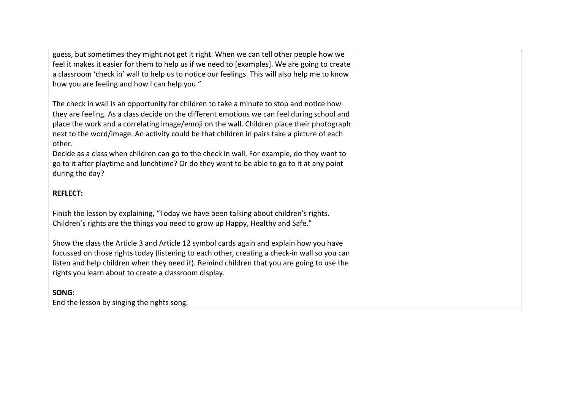guess, but sometimes they might not get it right. When we can tell other people how we feel it makes it easier for them to help us if we need to [examples]. We are going to create a classroom 'check in' wall to help us to notice our feelings. This will also help me to know how you are feeling and how I can help you."

The check in wall is an opportunity for children to take a minute to stop and notice how they are feeling. As a class decide on the different emotions we can feel during school and place the work and a correlating image/emoji on the wall. Children place their photograph next to the word/image. An activity could be that children in pairs take a picture of each other.

Decide as a class when children can go to the check in wall. For example, do they want to go to it after playtime and lunchtime? Or do they want to be able to go to it at any point during the day?

### **REFLECT:**

Finish the lesson by explaining, "Today we have been talking about children's rights. Children's rights are the things you need to grow up Happy, Healthy and Safe."

Show the class the Article 3 and Article 12 symbol cards again and explain how you have focussed on those rights today (listening to each other, creating a check-in wall so you can listen and help children when they need it). Remind children that you are going to use the rights you learn about to create a classroom display.

### **SONG:**

End the lesson by singing the rights song.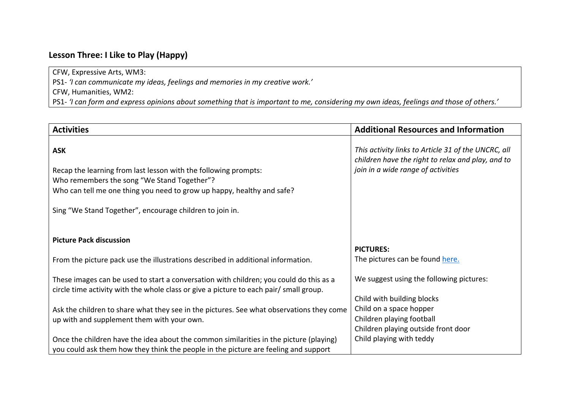## **Lesson Three: I Like to Play (Happy)**

CFW, Expressive Arts, WM3:

PS1- *'I can communicate my ideas, feelings and memories in my creative work.'*

CFW, Humanities, WM2:

PS1- *'I can form and express opinions about something that is important to me, considering my own ideas, feelings and those of others.'*

| <b>Activities</b>                                                                                                                                                                                                                                                  | <b>Additional Resources and Information</b>                                                                                                    |
|--------------------------------------------------------------------------------------------------------------------------------------------------------------------------------------------------------------------------------------------------------------------|------------------------------------------------------------------------------------------------------------------------------------------------|
| <b>ASK</b><br>Recap the learning from last lesson with the following prompts:<br>Who remembers the song "We Stand Together"?<br>Who can tell me one thing you need to grow up happy, healthy and safe?<br>Sing "We Stand Together", encourage children to join in. | This activity links to Article 31 of the UNCRC, all<br>children have the right to relax and play, and to<br>join in a wide range of activities |
| <b>Picture Pack discussion</b>                                                                                                                                                                                                                                     |                                                                                                                                                |
| From the picture pack use the illustrations described in additional information.                                                                                                                                                                                   | <b>PICTURES:</b><br>The pictures can be found here.                                                                                            |
| These images can be used to start a conversation with children; you could do this as a<br>circle time activity with the whole class or give a picture to each pair/ small group.                                                                                   | We suggest using the following pictures:<br>Child with building blocks                                                                         |
| Ask the children to share what they see in the pictures. See what observations they come<br>up with and supplement them with your own.                                                                                                                             | Child on a space hopper<br>Children playing football<br>Children playing outside front door                                                    |
| Once the children have the idea about the common similarities in the picture (playing)<br>you could ask them how they think the people in the picture are feeling and support                                                                                      | Child playing with teddy                                                                                                                       |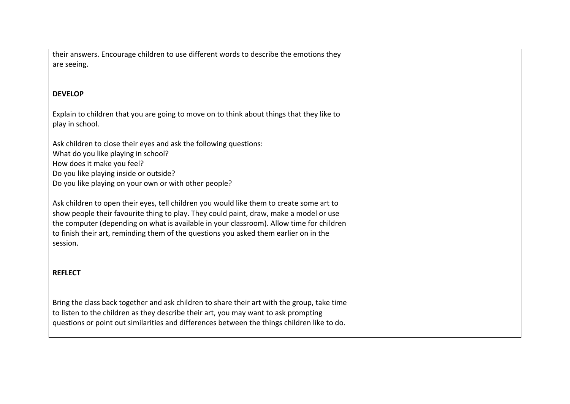| their answers. Encourage children to use different words to describe the emotions they<br>are seeing.                                                                                                                                                                                                                                                                               |  |
|-------------------------------------------------------------------------------------------------------------------------------------------------------------------------------------------------------------------------------------------------------------------------------------------------------------------------------------------------------------------------------------|--|
| <b>DEVELOP</b>                                                                                                                                                                                                                                                                                                                                                                      |  |
| Explain to children that you are going to move on to think about things that they like to<br>play in school.                                                                                                                                                                                                                                                                        |  |
| Ask children to close their eyes and ask the following questions:<br>What do you like playing in school?<br>How does it make you feel?<br>Do you like playing inside or outside?<br>Do you like playing on your own or with other people?                                                                                                                                           |  |
| Ask children to open their eyes, tell children you would like them to create some art to<br>show people their favourite thing to play. They could paint, draw, make a model or use<br>the computer (depending on what is available in your classroom). Allow time for children<br>to finish their art, reminding them of the questions you asked them earlier on in the<br>session. |  |
| <b>REFLECT</b>                                                                                                                                                                                                                                                                                                                                                                      |  |
| Bring the class back together and ask children to share their art with the group, take time<br>to listen to the children as they describe their art, you may want to ask prompting<br>questions or point out similarities and differences between the things children like to do.                                                                                                   |  |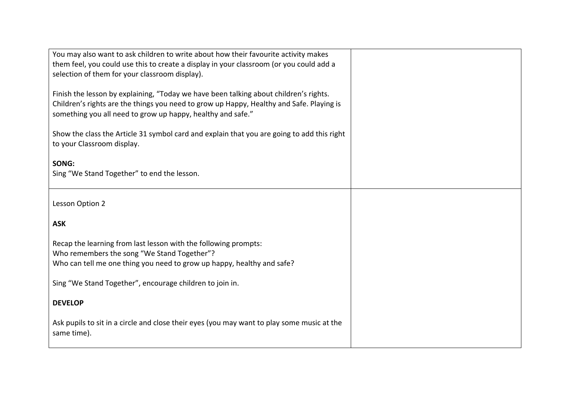| You may also want to ask children to write about how their favourite activity makes<br>them feel, you could use this to create a display in your classroom (or you could add a<br>selection of them for your classroom display).                 |  |
|--------------------------------------------------------------------------------------------------------------------------------------------------------------------------------------------------------------------------------------------------|--|
| Finish the lesson by explaining, "Today we have been talking about children's rights.<br>Children's rights are the things you need to grow up Happy, Healthy and Safe. Playing is<br>something you all need to grow up happy, healthy and safe." |  |
| Show the class the Article 31 symbol card and explain that you are going to add this right<br>to your Classroom display.                                                                                                                         |  |
| SONG:<br>Sing "We Stand Together" to end the lesson.                                                                                                                                                                                             |  |
| Lesson Option 2                                                                                                                                                                                                                                  |  |
| <b>ASK</b>                                                                                                                                                                                                                                       |  |
| Recap the learning from last lesson with the following prompts:<br>Who remembers the song "We Stand Together"?<br>Who can tell me one thing you need to grow up happy, healthy and safe?                                                         |  |
| Sing "We Stand Together", encourage children to join in.                                                                                                                                                                                         |  |
| <b>DEVELOP</b>                                                                                                                                                                                                                                   |  |
| Ask pupils to sit in a circle and close their eyes (you may want to play some music at the<br>same time).                                                                                                                                        |  |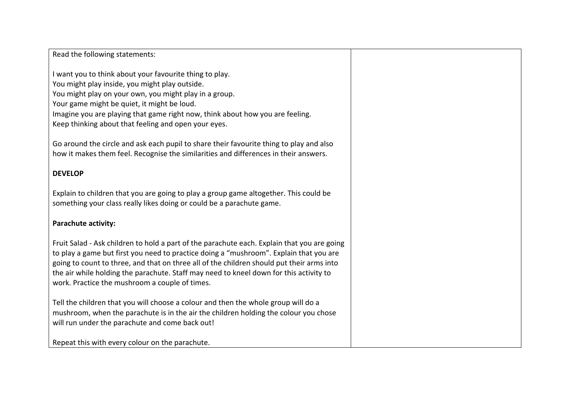#### Read the following statements:

I want you to think about your favourite thing to play. You might play inside, you might play outside. You might play on your own, you might play in a group. Your game might be quiet, it might be loud. Imagine you are playing that game right now, think about how you are feeling. Keep thinking about that feeling and open your eyes.

Go around the circle and ask each pupil to share their favourite thing to play and also how it makes them feel. Recognise the similarities and differences in their answers.

#### **DEVELOP**

Explain to children that you are going to play a group game altogether. This could be something your class really likes doing or could be a parachute game.

#### **Parachute activity:**

Fruit Salad - Ask children to hold a part of the parachute each. Explain that you are going to play a game but first you need to practice doing a "mushroom". Explain that you are going to count to three, and that on three all of the children should put their arms into the air while holding the parachute. Staff may need to kneel down for this activity to work. Practice the mushroom a couple of times.

Tell the children that you will choose a colour and then the whole group will do a mushroom, when the parachute is in the air the children holding the colour you chose will run under the parachute and come back out!

Repeat this with every colour on the parachute.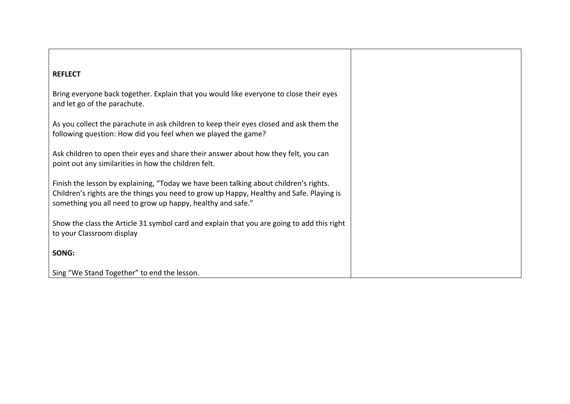### **REFLECT**

Bring everyone back together. Explain that you would like everyone to close their eyes and let go of the parachute.

As you collect the parachute in ask children to keep their eyes closed and ask them the following question: How did you feel when we played the game?

Ask children to open their eyes and share their answer about how they felt, you can point out any similarities in how the children felt.

Finish the lesson by explaining, "Today we have been talking about children's rights. Children's rights are the things you need to grow up Happy, Healthy and Safe. Playing is something you all need to grow up happy, healthy and safe."

Show the class the Article 31 symbol card and explain that you are going to add this right to your Classroom display

**SONG:** 

Sing "We Stand Together" to end the lesson.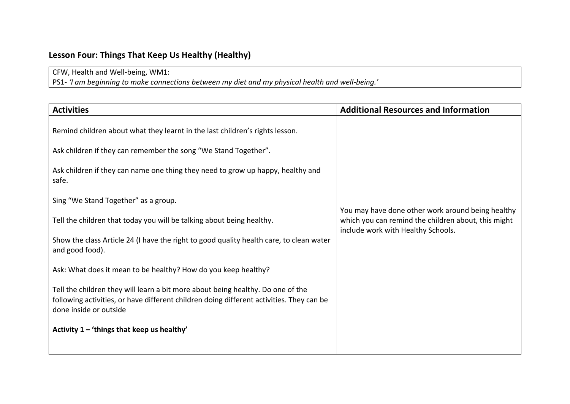# **Lesson Four: Things That Keep Us Healthy (Healthy)**

CFW, Health and Well-being, WM1:

PS1- *'I am beginning to make connections between my diet and my physical health and well-being.'*

| <b>Activities</b>                                                                                                                                                                                     | <b>Additional Resources and Information</b>                                                                                                    |
|-------------------------------------------------------------------------------------------------------------------------------------------------------------------------------------------------------|------------------------------------------------------------------------------------------------------------------------------------------------|
| Remind children about what they learnt in the last children's rights lesson.                                                                                                                          |                                                                                                                                                |
| Ask children if they can remember the song "We Stand Together".                                                                                                                                       |                                                                                                                                                |
| Ask children if they can name one thing they need to grow up happy, healthy and<br>safe.                                                                                                              |                                                                                                                                                |
| Sing "We Stand Together" as a group.                                                                                                                                                                  |                                                                                                                                                |
| Tell the children that today you will be talking about being healthy.                                                                                                                                 | You may have done other work around being healthy<br>which you can remind the children about, this might<br>include work with Healthy Schools. |
| Show the class Article 24 (I have the right to good quality health care, to clean water<br>and good food).                                                                                            |                                                                                                                                                |
| Ask: What does it mean to be healthy? How do you keep healthy?                                                                                                                                        |                                                                                                                                                |
| Tell the children they will learn a bit more about being healthy. Do one of the<br>following activities, or have different children doing different activities. They can be<br>done inside or outside |                                                                                                                                                |
| Activity $1 -$ 'things that keep us healthy'                                                                                                                                                          |                                                                                                                                                |
|                                                                                                                                                                                                       |                                                                                                                                                |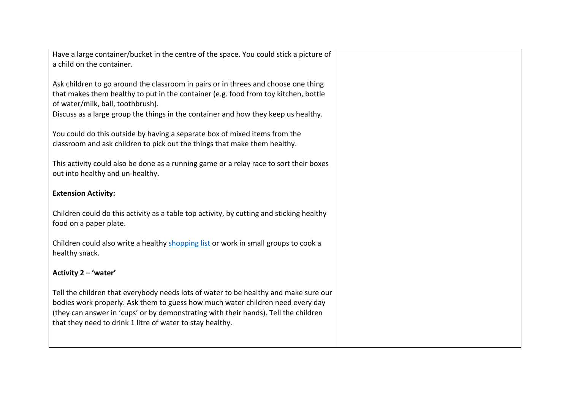| Have a large container/bucket in the centre of the space. You could stick a picture of<br>a child on the container.                                                                                                                                                                                                        |  |
|----------------------------------------------------------------------------------------------------------------------------------------------------------------------------------------------------------------------------------------------------------------------------------------------------------------------------|--|
| Ask children to go around the classroom in pairs or in threes and choose one thing<br>that makes them healthy to put in the container (e.g. food from toy kitchen, bottle<br>of water/milk, ball, toothbrush).<br>Discuss as a large group the things in the container and how they keep us healthy.                       |  |
| You could do this outside by having a separate box of mixed items from the<br>classroom and ask children to pick out the things that make them healthy.                                                                                                                                                                    |  |
| This activity could also be done as a running game or a relay race to sort their boxes<br>out into healthy and un-healthy.                                                                                                                                                                                                 |  |
| <b>Extension Activity:</b>                                                                                                                                                                                                                                                                                                 |  |
| Children could do this activity as a table top activity, by cutting and sticking healthy<br>food on a paper plate.                                                                                                                                                                                                         |  |
| Children could also write a healthy shopping list or work in small groups to cook a<br>healthy snack.                                                                                                                                                                                                                      |  |
| Activity 2 - 'water'                                                                                                                                                                                                                                                                                                       |  |
| Tell the children that everybody needs lots of water to be healthy and make sure our<br>bodies work properly. Ask them to guess how much water children need every day<br>(they can answer in 'cups' or by demonstrating with their hands). Tell the children<br>that they need to drink 1 litre of water to stay healthy. |  |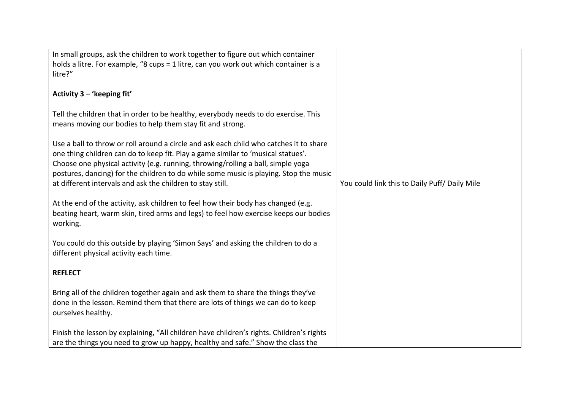| In small groups, ask the children to work together to figure out which container                                                                                                                                                                                                                                                                                                                                      |                                              |
|-----------------------------------------------------------------------------------------------------------------------------------------------------------------------------------------------------------------------------------------------------------------------------------------------------------------------------------------------------------------------------------------------------------------------|----------------------------------------------|
| holds a litre. For example, "8 cups = 1 litre, can you work out which container is a<br>litre?"                                                                                                                                                                                                                                                                                                                       |                                              |
|                                                                                                                                                                                                                                                                                                                                                                                                                       |                                              |
| Activity 3 - 'keeping fit'                                                                                                                                                                                                                                                                                                                                                                                            |                                              |
| Tell the children that in order to be healthy, everybody needs to do exercise. This<br>means moving our bodies to help them stay fit and strong.                                                                                                                                                                                                                                                                      |                                              |
| Use a ball to throw or roll around a circle and ask each child who catches it to share<br>one thing children can do to keep fit. Play a game similar to 'musical statues'.<br>Choose one physical activity (e.g. running, throwing/rolling a ball, simple yoga<br>postures, dancing) for the children to do while some music is playing. Stop the music<br>at different intervals and ask the children to stay still. | You could link this to Daily Puff/Daily Mile |
| At the end of the activity, ask children to feel how their body has changed (e.g.<br>beating heart, warm skin, tired arms and legs) to feel how exercise keeps our bodies<br>working.                                                                                                                                                                                                                                 |                                              |
| You could do this outside by playing 'Simon Says' and asking the children to do a<br>different physical activity each time.                                                                                                                                                                                                                                                                                           |                                              |
| <b>REFLECT</b>                                                                                                                                                                                                                                                                                                                                                                                                        |                                              |
| Bring all of the children together again and ask them to share the things they've<br>done in the lesson. Remind them that there are lots of things we can do to keep<br>ourselves healthy.                                                                                                                                                                                                                            |                                              |
| Finish the lesson by explaining, "All children have children's rights. Children's rights                                                                                                                                                                                                                                                                                                                              |                                              |
| are the things you need to grow up happy, healthy and safe." Show the class the                                                                                                                                                                                                                                                                                                                                       |                                              |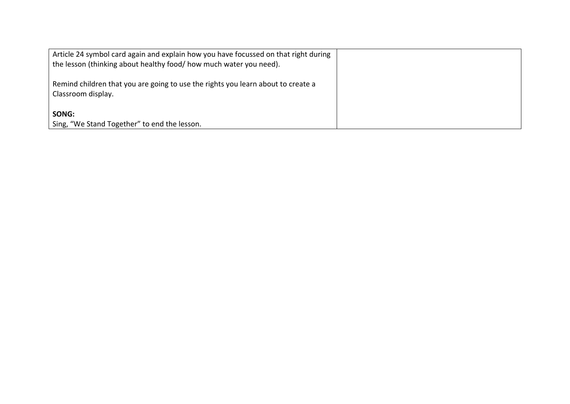| Article 24 symbol card again and explain how you have focussed on that right during<br>the lesson (thinking about healthy food/ how much water you need). |  |
|-----------------------------------------------------------------------------------------------------------------------------------------------------------|--|
| Remind children that you are going to use the rights you learn about to create a<br>Classroom display.                                                    |  |
| SONG:<br>Sing, "We Stand Together" to end the lesson.                                                                                                     |  |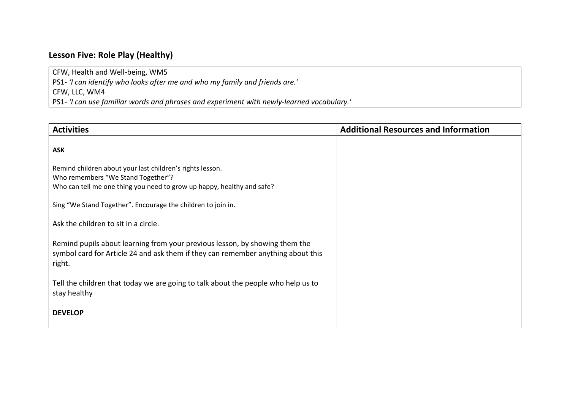## **Lesson Five: Role Play (Healthy)**

CFW, Health and Well-being, WM5

PS1- *'I can identify who looks after me and who my family and friends are.'*

CFW, LLC, WM4

PS1- *'I can use familiar words and phrases and experiment with newly-learned vocabulary.'*

| <b>Activities</b>                                                                                                                                                         | <b>Additional Resources and Information</b> |
|---------------------------------------------------------------------------------------------------------------------------------------------------------------------------|---------------------------------------------|
| <b>ASK</b>                                                                                                                                                                |                                             |
| Remind children about your last children's rights lesson.<br>Who remembers "We Stand Together"?<br>Who can tell me one thing you need to grow up happy, healthy and safe? |                                             |
| Sing "We Stand Together". Encourage the children to join in.                                                                                                              |                                             |
| Ask the children to sit in a circle.                                                                                                                                      |                                             |
| Remind pupils about learning from your previous lesson, by showing them the<br>symbol card for Article 24 and ask them if they can remember anything about this<br>right. |                                             |
| Tell the children that today we are going to talk about the people who help us to<br>stay healthy                                                                         |                                             |
| <b>DEVELOP</b>                                                                                                                                                            |                                             |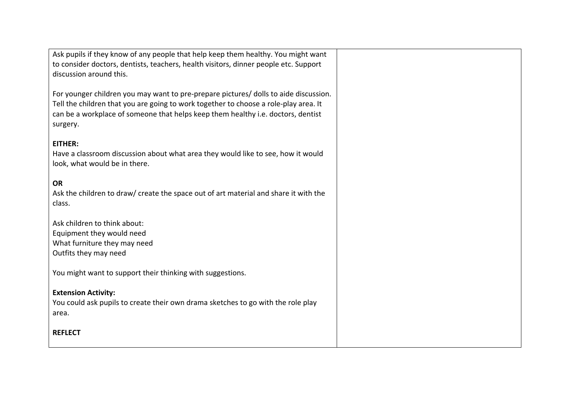| Ask pupils if they know of any people that help keep them healthy. You might want<br>to consider doctors, dentists, teachers, health visitors, dinner people etc. Support<br>discussion around this.                                                                         |  |
|------------------------------------------------------------------------------------------------------------------------------------------------------------------------------------------------------------------------------------------------------------------------------|--|
| For younger children you may want to pre-prepare pictures/ dolls to aide discussion.<br>Tell the children that you are going to work together to choose a role-play area. It<br>can be a workplace of someone that helps keep them healthy i.e. doctors, dentist<br>surgery. |  |
| <b>EITHER:</b><br>Have a classroom discussion about what area they would like to see, how it would<br>look, what would be in there.                                                                                                                                          |  |
| <b>OR</b><br>Ask the children to draw/ create the space out of art material and share it with the<br>class.                                                                                                                                                                  |  |
| Ask children to think about:<br>Equipment they would need<br>What furniture they may need<br>Outfits they may need                                                                                                                                                           |  |
| You might want to support their thinking with suggestions.                                                                                                                                                                                                                   |  |
| <b>Extension Activity:</b><br>You could ask pupils to create their own drama sketches to go with the role play<br>area.                                                                                                                                                      |  |
| <b>REFLECT</b>                                                                                                                                                                                                                                                               |  |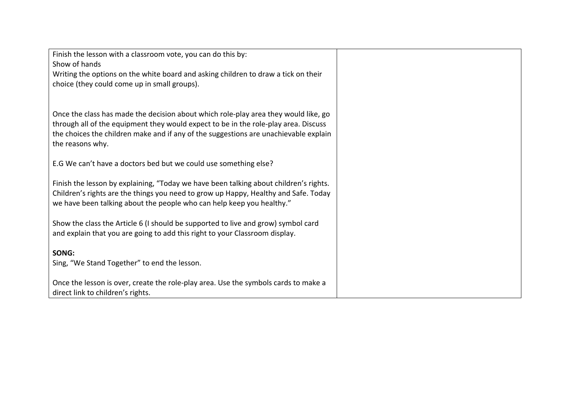| Finish the lesson with a classroom vote, you can do this by:                                             |  |
|----------------------------------------------------------------------------------------------------------|--|
| Show of hands                                                                                            |  |
| Writing the options on the white board and asking children to draw a tick on their                       |  |
| choice (they could come up in small groups).                                                             |  |
|                                                                                                          |  |
|                                                                                                          |  |
| Once the class has made the decision about which role-play area they would like, go                      |  |
| through all of the equipment they would expect to be in the role-play area. Discuss                      |  |
| the choices the children make and if any of the suggestions are unachievable explain<br>the reasons why. |  |
|                                                                                                          |  |
| E.G We can't have a doctors bed but we could use something else?                                         |  |
|                                                                                                          |  |
| Finish the lesson by explaining, "Today we have been talking about children's rights.                    |  |
| Children's rights are the things you need to grow up Happy, Healthy and Safe. Today                      |  |
| we have been talking about the people who can help keep you healthy."                                    |  |
|                                                                                                          |  |
| Show the class the Article 6 (I should be supported to live and grow) symbol card                        |  |
| and explain that you are going to add this right to your Classroom display.                              |  |
| SONG:                                                                                                    |  |
| Sing, "We Stand Together" to end the lesson.                                                             |  |
|                                                                                                          |  |
| Once the lesson is over, create the role-play area. Use the symbols cards to make a                      |  |
| direct link to children's rights.                                                                        |  |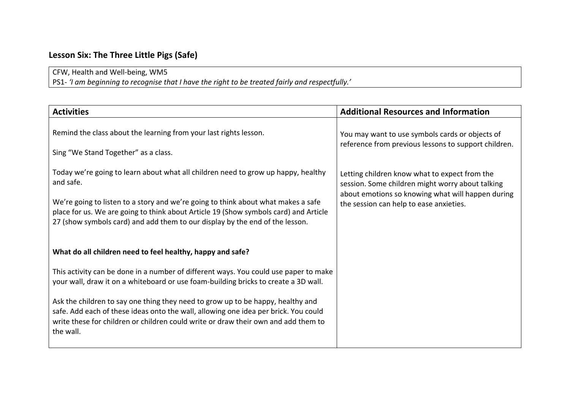## **Lesson Six: The Three Little Pigs (Safe)**

### CFW, Health and Well-being, WM5

PS1- *'I am beginning to recognise that I have the right to be treated fairly and respectfully.'*

| <b>Activities</b>                                                                                                                                                                                                                                                                                                                                           | <b>Additional Resources and Information</b>                                                                                                                                                       |
|-------------------------------------------------------------------------------------------------------------------------------------------------------------------------------------------------------------------------------------------------------------------------------------------------------------------------------------------------------------|---------------------------------------------------------------------------------------------------------------------------------------------------------------------------------------------------|
| Remind the class about the learning from your last rights lesson.<br>Sing "We Stand Together" as a class.                                                                                                                                                                                                                                                   | You may want to use symbols cards or objects of<br>reference from previous lessons to support children.                                                                                           |
| Today we're going to learn about what all children need to grow up happy, healthy<br>and safe.<br>We're going to listen to a story and we're going to think about what makes a safe<br>place for us. We are going to think about Article 19 (Show symbols card) and Article<br>27 (show symbols card) and add them to our display by the end of the lesson. | Letting children know what to expect from the<br>session. Some children might worry about talking<br>about emotions so knowing what will happen during<br>the session can help to ease anxieties. |
| What do all children need to feel healthy, happy and safe?                                                                                                                                                                                                                                                                                                  |                                                                                                                                                                                                   |
| This activity can be done in a number of different ways. You could use paper to make<br>your wall, draw it on a whiteboard or use foam-building bricks to create a 3D wall.                                                                                                                                                                                 |                                                                                                                                                                                                   |
| Ask the children to say one thing they need to grow up to be happy, healthy and<br>safe. Add each of these ideas onto the wall, allowing one idea per brick. You could<br>write these for children or children could write or draw their own and add them to<br>the wall.                                                                                   |                                                                                                                                                                                                   |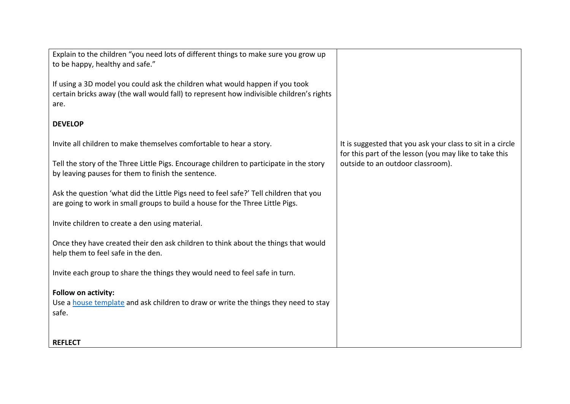| Explain to the children "you need lots of different things to make sure you grow up<br>to be happy, healthy and safe."                                                   |                                                                                                                                                           |
|--------------------------------------------------------------------------------------------------------------------------------------------------------------------------|-----------------------------------------------------------------------------------------------------------------------------------------------------------|
|                                                                                                                                                                          |                                                                                                                                                           |
| If using a 3D model you could ask the children what would happen if you took<br>certain bricks away (the wall would fall) to represent how indivisible children's rights |                                                                                                                                                           |
| are.                                                                                                                                                                     |                                                                                                                                                           |
| <b>DEVELOP</b>                                                                                                                                                           | It is suggested that you ask your class to sit in a circle<br>for this part of the lesson (you may like to take this<br>outside to an outdoor classroom). |
| Invite all children to make themselves comfortable to hear a story.                                                                                                      |                                                                                                                                                           |
| Tell the story of the Three Little Pigs. Encourage children to participate in the story<br>by leaving pauses for them to finish the sentence.                            |                                                                                                                                                           |
| Ask the question 'what did the Little Pigs need to feel safe?' Tell children that you<br>are going to work in small groups to build a house for the Three Little Pigs.   |                                                                                                                                                           |
| Invite children to create a den using material.                                                                                                                          |                                                                                                                                                           |
| Once they have created their den ask children to think about the things that would<br>help them to feel safe in the den.                                                 |                                                                                                                                                           |
| Invite each group to share the things they would need to feel safe in turn.                                                                                              |                                                                                                                                                           |
| Follow on activity:                                                                                                                                                      |                                                                                                                                                           |
| Use a house template and ask children to draw or write the things they need to stay<br>safe.                                                                             |                                                                                                                                                           |
|                                                                                                                                                                          |                                                                                                                                                           |
| <b>REFLECT</b>                                                                                                                                                           |                                                                                                                                                           |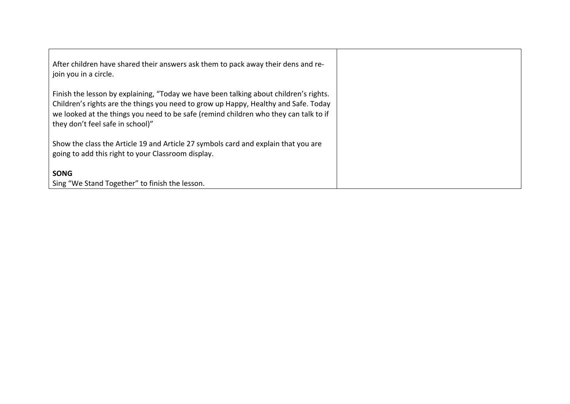| After children have shared their answers ask them to pack away their dens and re-<br>  join you in a circle.                                                                                                                                                                                             |  |
|----------------------------------------------------------------------------------------------------------------------------------------------------------------------------------------------------------------------------------------------------------------------------------------------------------|--|
| Finish the lesson by explaining, "Today we have been talking about children's rights.<br>Children's rights are the things you need to grow up Happy, Healthy and Safe. Today<br>we looked at the things you need to be safe (remind children who they can talk to if<br>they don't feel safe in school)" |  |
| Show the class the Article 19 and Article 27 symbols card and explain that you are<br>going to add this right to your Classroom display.                                                                                                                                                                 |  |
| <b>SONG</b><br>Sing "We Stand Together" to finish the lesson.                                                                                                                                                                                                                                            |  |
|                                                                                                                                                                                                                                                                                                          |  |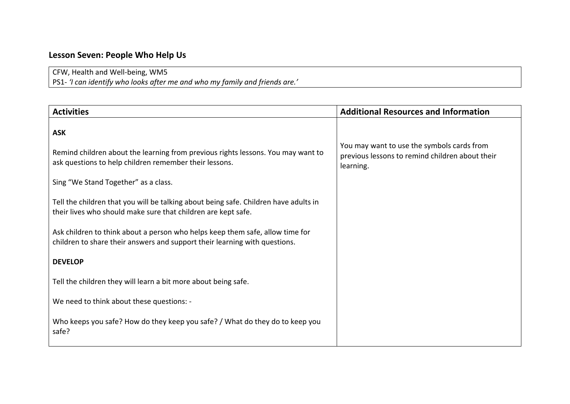# **Lesson Seven: People Who Help Us**

## CFW, Health and Well-being, WM5

PS1- *'I can identify who looks after me and who my family and friends are.'*

| <b>Activities</b>                                                                                                                                           | <b>Additional Resources and Information</b>                                                                |
|-------------------------------------------------------------------------------------------------------------------------------------------------------------|------------------------------------------------------------------------------------------------------------|
| <b>ASK</b>                                                                                                                                                  |                                                                                                            |
| Remind children about the learning from previous rights lessons. You may want to<br>ask questions to help children remember their lessons.                  | You may want to use the symbols cards from<br>previous lessons to remind children about their<br>learning. |
| Sing "We Stand Together" as a class.                                                                                                                        |                                                                                                            |
| Tell the children that you will be talking about being safe. Children have adults in<br>their lives who should make sure that children are kept safe.       |                                                                                                            |
| Ask children to think about a person who helps keep them safe, allow time for<br>children to share their answers and support their learning with questions. |                                                                                                            |
| <b>DEVELOP</b>                                                                                                                                              |                                                                                                            |
| Tell the children they will learn a bit more about being safe.                                                                                              |                                                                                                            |
| We need to think about these questions: -                                                                                                                   |                                                                                                            |
| Who keeps you safe? How do they keep you safe? / What do they do to keep you<br>safe?                                                                       |                                                                                                            |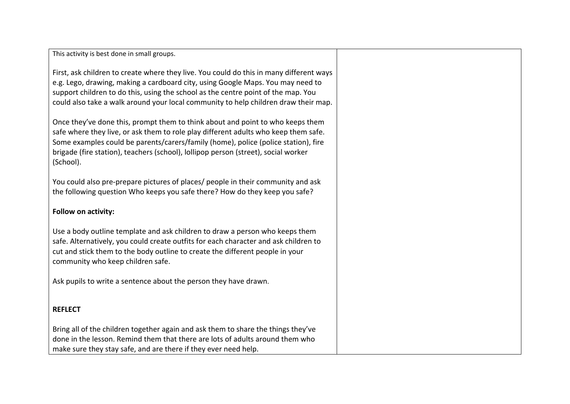This activity is best done in small groups.

First, ask children to create where they live. You could do this in many different ways e.g. Lego, drawing, making a cardboard city, using Google Maps. You may need to support children to do this, using the school as the centre point of the map. You could also take a walk around your local community to help children draw their map.

Once they've done this, prompt them to think about and point to who keeps them safe where they live, or ask them to role play different adults who keep them safe. Some examples could be parents/carers/family (home), police (police station), fire brigade (fire station), teachers (school), lollipop person (street), social worker (School).

You could also pre-prepare pictures of places/ people in their community and ask the following question Who keeps you safe there? How do they keep you safe?

#### **Follow on activity:**

Use a body outline template and ask children to draw a person who keeps them safe. Alternatively, you could create outfits for each character and ask children to cut and stick them to the body outline to create the different people in your community who keep children safe.

Ask pupils to write a sentence about the person they have drawn.

### **REFLECT**

Bring all of the children together again and ask them to share the things they've done in the lesson. Remind them that there are lots of adults around them who make sure they stay safe, and are there if they ever need help.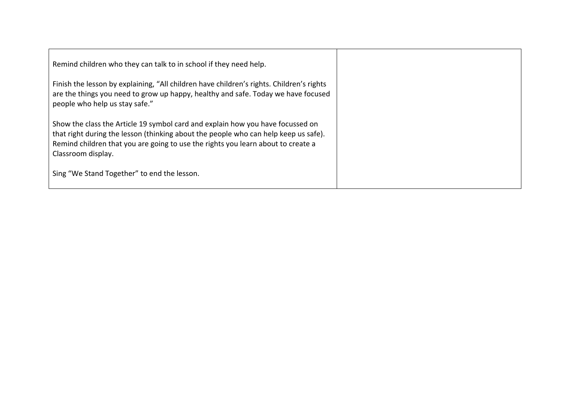| Remind children who they can talk to in school if they need help.                                                                                                                                                                                                               |  |
|---------------------------------------------------------------------------------------------------------------------------------------------------------------------------------------------------------------------------------------------------------------------------------|--|
| Finish the lesson by explaining, "All children have children's rights. Children's rights<br>are the things you need to grow up happy, healthy and safe. Today we have focused<br>people who help us stay safe."                                                                 |  |
| Show the class the Article 19 symbol card and explain how you have focussed on<br>that right during the lesson (thinking about the people who can help keep us safe).<br>Remind children that you are going to use the rights you learn about to create a<br>Classroom display. |  |
| Sing "We Stand Together" to end the lesson.                                                                                                                                                                                                                                     |  |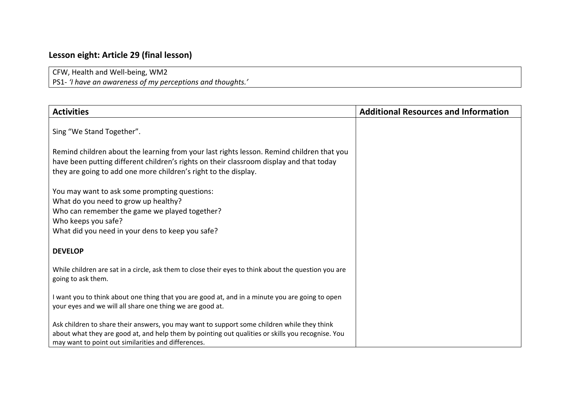# **Lesson eight: Article 29 (final lesson)**

CFW, Health and Well-being, WM2

PS1- *'I have an awareness of my perceptions and thoughts.'*

| <b>Activities</b>                                                                                                                                                                                                                                       | <b>Additional Resources and Information</b> |
|---------------------------------------------------------------------------------------------------------------------------------------------------------------------------------------------------------------------------------------------------------|---------------------------------------------|
| Sing "We Stand Together".                                                                                                                                                                                                                               |                                             |
| Remind children about the learning from your last rights lesson. Remind children that you<br>have been putting different children's rights on their classroom display and that today<br>they are going to add one more children's right to the display. |                                             |
| You may want to ask some prompting questions:<br>What do you need to grow up healthy?<br>Who can remember the game we played together?<br>Who keeps you safe?<br>What did you need in your dens to keep you safe?                                       |                                             |
| <b>DEVELOP</b>                                                                                                                                                                                                                                          |                                             |
| While children are sat in a circle, ask them to close their eyes to think about the question you are<br>going to ask them.                                                                                                                              |                                             |
| I want you to think about one thing that you are good at, and in a minute you are going to open<br>your eyes and we will all share one thing we are good at.                                                                                            |                                             |
| Ask children to share their answers, you may want to support some children while they think<br>about what they are good at, and help them by pointing out qualities or skills you recognise. You<br>may want to point out similarities and differences. |                                             |